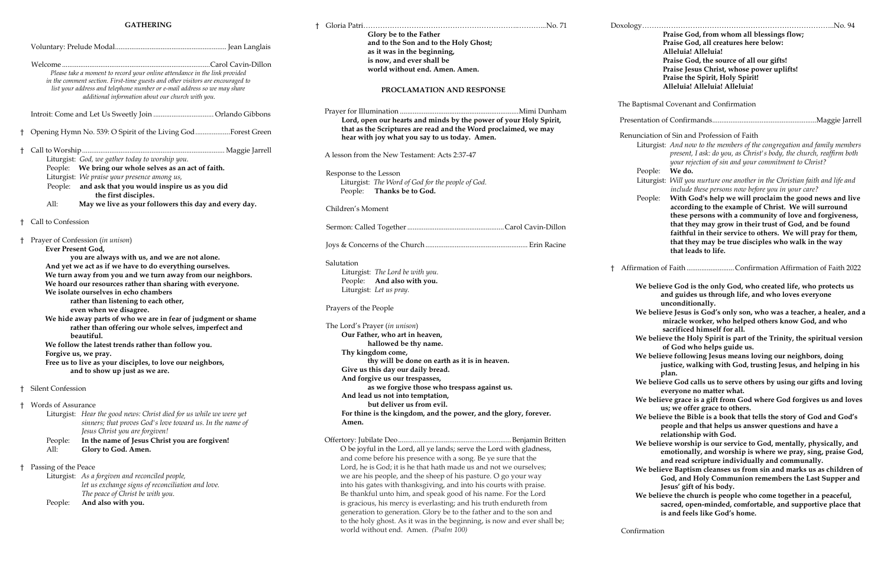#### **GATHERING**

|    | Please take a moment to record your online attendance in the link provided<br>in the comment section. First-time guests and other visitors are encouraged to<br>list your address and telephone number or e-mail address so we may share<br>additional information about our church with you.                                                                                                                                                                                                                                                                                                                                                                                                                                 |                                                                                                                                                                                                                                                                                                   |  |
|----|-------------------------------------------------------------------------------------------------------------------------------------------------------------------------------------------------------------------------------------------------------------------------------------------------------------------------------------------------------------------------------------------------------------------------------------------------------------------------------------------------------------------------------------------------------------------------------------------------------------------------------------------------------------------------------------------------------------------------------|---------------------------------------------------------------------------------------------------------------------------------------------------------------------------------------------------------------------------------------------------------------------------------------------------|--|
|    |                                                                                                                                                                                                                                                                                                                                                                                                                                                                                                                                                                                                                                                                                                                               |                                                                                                                                                                                                                                                                                                   |  |
| t  |                                                                                                                                                                                                                                                                                                                                                                                                                                                                                                                                                                                                                                                                                                                               | Opening Hymn No. 539: O Spirit of the Living GodForest Green                                                                                                                                                                                                                                      |  |
| t  | All:                                                                                                                                                                                                                                                                                                                                                                                                                                                                                                                                                                                                                                                                                                                          | Liturgist: God, we gather today to worship you.<br>People: We bring our whole selves as an act of faith.<br>Liturgist: We praise your presence among us,<br>People: and ask that you would inspire us as you did<br>the first disciples.<br>May we live as your followers this day and every day. |  |
| t  | Call to Confession                                                                                                                                                                                                                                                                                                                                                                                                                                                                                                                                                                                                                                                                                                            |                                                                                                                                                                                                                                                                                                   |  |
| Ť  | Prayer of Confession (in unison)<br>Ever Present God,<br>you are always with us, and we are not alone.<br>And yet we act as if we have to do everything ourselves.<br>We turn away from you and we turn away from our neighbors.<br>We hoard our resources rather than sharing with everyone.<br>We isolate ourselves in echo chambers<br>rather than listening to each other,<br>even when we disagree.<br>We hide away parts of who we are in fear of judgment or shame<br>rather than offering our whole selves, imperfect and<br>beautiful.<br>We follow the latest trends rather than follow you.<br>Forgive us, we pray.<br>Free us to live as your disciples, to love our neighbors,<br>and to show up just as we are. |                                                                                                                                                                                                                                                                                                   |  |
| ŧ  | Silent Confession                                                                                                                                                                                                                                                                                                                                                                                                                                                                                                                                                                                                                                                                                                             |                                                                                                                                                                                                                                                                                                   |  |
| ŧ  | <b>Words of Assurance</b><br>People:<br>All:                                                                                                                                                                                                                                                                                                                                                                                                                                                                                                                                                                                                                                                                                  | Liturgist: Hear the good news: Christ died for us while we were yet<br>sinners; that proves God's love toward us. In the name of<br>Jesus Christ you are forgiven!<br>In the name of Jesus Christ you are forgiven!<br>Glory to God. Amen.                                                        |  |
| Ť. | Passing of the Peace<br>People:                                                                                                                                                                                                                                                                                                                                                                                                                                                                                                                                                                                                                                                                                               | Liturgist: As a forgiven and reconciled people,<br>let us exchange signs of reconciliation and love.<br>The peace of Christ be with you.<br>And also with you.                                                                                                                                    |  |

|            | Glory be to the Father                                                                                                               | Praise God, from whom all blessings flow;                                                                                                   |
|------------|--------------------------------------------------------------------------------------------------------------------------------------|---------------------------------------------------------------------------------------------------------------------------------------------|
|            | and to the Son and to the Holy Ghost;                                                                                                | Praise God, all creatures here below:                                                                                                       |
|            | as it was in the beginning,                                                                                                          | Alleluia! Alleluia!                                                                                                                         |
|            | is now, and ever shall be                                                                                                            | Praise God, the source of all our gifts!                                                                                                    |
|            | world without end. Amen. Amen.                                                                                                       | Praise Jesus Christ, whose power uplifts!                                                                                                   |
|            |                                                                                                                                      | Praise the Spirit, Holy Spirit!                                                                                                             |
|            | PROCLAMATION AND RESPONSE                                                                                                            | Alleluia! Alleluia! Alleluia!                                                                                                               |
|            |                                                                                                                                      | The Baptismal Covenant and Confirmation                                                                                                     |
|            |                                                                                                                                      |                                                                                                                                             |
|            | Lord, open our hearts and minds by the power of your Holy Spirit,<br>that as the Scriptures are read and the Word proclaimed, we may |                                                                                                                                             |
|            | hear with joy what you say to us today. Amen.                                                                                        | Renunciation of Sin and Profession of Faith                                                                                                 |
|            |                                                                                                                                      | Liturgist: And now to the members of the congregation and family members                                                                    |
|            | A lesson from the New Testament: Acts 2:37-47                                                                                        | present, I ask: do you, as Christ's body, the church, reaffirm both                                                                         |
|            |                                                                                                                                      | your rejection of sin and your commitment to Christ?                                                                                        |
|            | Response to the Lesson                                                                                                               | People:<br>We do.                                                                                                                           |
|            | Liturgist: The Word of God for the people of God.                                                                                    | Liturgist: Will you nurture one another in the Christian faith and life and                                                                 |
|            | People: Thanks be to God.                                                                                                            | include these persons now before you in your care?                                                                                          |
|            |                                                                                                                                      | With God's help we will proclaim the good news and live<br>People:                                                                          |
|            | Children's Moment                                                                                                                    | according to the example of Christ. We will surround                                                                                        |
|            |                                                                                                                                      | these persons with a community of love and forgiveness,                                                                                     |
|            |                                                                                                                                      | that they may grow in their trust of God, and be found                                                                                      |
|            |                                                                                                                                      | faithful in their service to others. We will pray for them,                                                                                 |
|            |                                                                                                                                      | that they may be true disciples who walk in the way<br>that leads to life.                                                                  |
| Salutation |                                                                                                                                      |                                                                                                                                             |
|            | Liturgist: The Lord be with you.                                                                                                     | Affirmation of Faith Confirmation Affirmation of Faith 2022                                                                                 |
|            | People: And also with you.                                                                                                           |                                                                                                                                             |
|            | Liturgist: Let us pray.                                                                                                              | We believe God is the only God, who created life, who protects us<br>and guides us through life, and who loves everyone<br>unconditionally. |
|            | Prayers of the People                                                                                                                | We believe Jesus is God's only son, who was a teacher, a healer, and a                                                                      |
|            | The Lord's Prayer (in unison)                                                                                                        | miracle worker, who helped others know God, and who<br>sacrificed himself for all.                                                          |
|            | Our Father, who art in heaven,                                                                                                       |                                                                                                                                             |
|            | hallowed be thy name.                                                                                                                | We believe the Holy Spirit is part of the Trinity, the spiritual version                                                                    |
|            | Thy kingdom come,                                                                                                                    | of God who helps guide us.<br>We believe following Jesus means loving our neighbors, doing                                                  |
|            | thy will be done on earth as it is in heaven.                                                                                        | justice, walking with God, trusting Jesus, and helping in his                                                                               |
|            | Give us this day our daily bread.                                                                                                    |                                                                                                                                             |
|            | And forgive us our trespasses,                                                                                                       | plan.<br>We believe God calls us to serve others by using our gifts and loving                                                              |
|            | as we forgive those who trespass against us.                                                                                         | everyone no matter what.                                                                                                                    |
|            | And lead us not into temptation,                                                                                                     | We believe grace is a gift from God where God forgives us and loves                                                                         |
|            | but deliver us from evil.                                                                                                            | us; we offer grace to others.                                                                                                               |
|            | For thine is the kingdom, and the power, and the glory, forever.                                                                     | We believe the Bible is a book that tells the story of God and God's                                                                        |
|            | Amen.                                                                                                                                | people and that helps us answer questions and have a                                                                                        |
|            |                                                                                                                                      | relationship with God.                                                                                                                      |
|            |                                                                                                                                      | We believe worship is our service to God, mentally, physically, and                                                                         |
|            | O be joyful in the Lord, all ye lands; serve the Lord with gladness,                                                                 | emotionally, and worship is where we pray, sing, praise God,                                                                                |
|            | and come before his presence with a song. Be ye sure that the                                                                        | and read scripture individually and communally.                                                                                             |
|            | Lord, he is God; it is he that hath made us and not we ourselves;                                                                    | We believe Baptism cleanses us from sin and marks us as children of                                                                         |
|            | we are his people, and the sheep of his pasture. O go your way                                                                       | God, and Holy Communion remembers the Last Supper and                                                                                       |
|            | into his gates with thanksgiving, and into his courts with praise.                                                                   | Jesus' gift of his body.                                                                                                                    |
|            | Be thankful unto him, and speak good of his name. For the Lord                                                                       | We believe the church is people who come together in a peaceful,                                                                            |
|            | is gracious, his mercy is everlasting; and his truth endureth from                                                                   | sacred, open-minded, comfortable, and supportive place that                                                                                 |
|            | generation to generation. Glory be to the father and to the son and                                                                  | is and feels like God's home.                                                                                                               |
|            | to the holy ghost. As it was in the beginning, is now and ever shall be;                                                             |                                                                                                                                             |
|            | world without end. Amen. (Psalm 100)                                                                                                 | Confirmation                                                                                                                                |
|            |                                                                                                                                      |                                                                                                                                             |